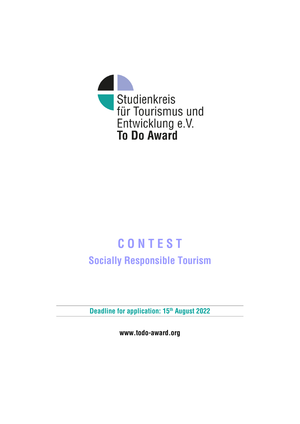

# **C O N T E S T Socially Responsible Tourism**

**Deadline for application: 15th August 2022**

**www.todo-award.org**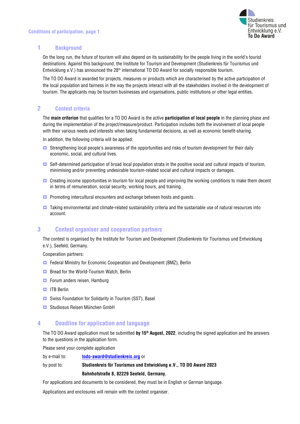

### **1 Background**

On the long run, the future of tourism will also depend on its sustainability for the people living in the world's tourist destinations. Against this background, the Institute for Tourism and Development (Studienkreis für Tourismus und Entwicklung e.V.) has announced the 28<sup>th</sup> international TO DO Award for socially responsible tourism.

The TO DO Award is awarded for projects, measures or products which are characterised by the active participation of the local population and fairness in the way the projects interact with all the stakeholders involved in the development of tourism. The applicants may be tourism businesses and organisations, public institutions or other legal entities.

## **2 Contest criteria**

The **main criterion** that qualifies for a TO DO Award is the active **participation of local people** in the planning phase and during the implementation of the project/measure/product. Participation includes both the involvement of local people with their various needs and interests when taking fundamental decisions, as well as economic benefit-sharing.

In addition, the following criteria will be applied:

- **Strengthening local people's awareness of the opportunities and risks of tourism development for their daily** economic, social, and cultural lives.
- **D** Self-determined participation of broad local population strata in the positive social and cultural impacts of tourism, minimising and/or preventing undesirable tourism-related social and cultural impacts or damages.
- **C** Creating income opportunities in tourism for local people and improving the working conditions to make them decent in terms of remuneration, social security, working hours, and training.
- **Promoting intercultural encounters and exchange between hosts and guests.**
- $\Box$  Taking environmental and climate-related sustainability criteria and the sustainable use of natural resources into account.

## **3 Contest organiser and cooperation partners**

The contest is organised by the Institute for Tourism and Development (Studienkreis für Tourismus und Entwicklung e.V.), Seefeld, Germany.

Cooperation partners:

- **E** Federal Ministry for Economic Cooperation and Development (BMZ), Berlin
- **Bread for the World-Tourism Watch, Berlin**
- **Forum anders reisen, Hamburg**
- **ITB** Berlin
- **E** Swiss Foundation for Solidarity in Tourism (SST), Basel
- **El Studiosus Reisen München GmbH**

## **4 Deadline for application and language**

The TO DO Award application must be submitted by 15<sup>th</sup> August, 2022, including the signed application and the answers to the questions in the application form.

Please send your complete application

by e-mail to: **[todo-award@studienkreis.org](mailto:todo-award@studienkreis.org)** or

# by post to: **Studienkreis für Tourismus und Entwicklung e.V., TO DO Award 2023 Bahnhofstraße 8, 82229 Seefeld, Germany.**

For applications and documents to be considered, they must be in English or German language.

Applications and enclosures will remain with the contest organiser.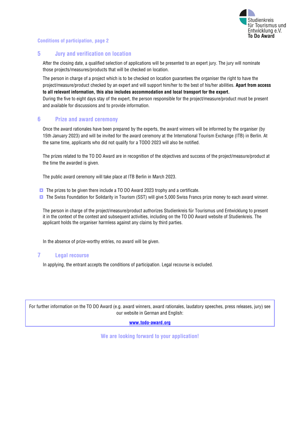

#### **Conditions of participation, page 2**

#### **5 Jury and verification on location**

After the closing date, a qualified selection of applications will be presented to an expert jury. The jury will nominate those projects/measures/products that will be checked on location.

The person in charge of a project which is to be checked on location guarantees the organiser the right to have the project/measure/product checked by an expert and will support him/her to the best of his/her abilities. **Apart from access to all relevant information, this also includes accommodation and local transport for the expert.** During the five to eight days stay of the expert, the person responsible for the project/measure/product must be present and available for discussions and to provide information.

#### **6 Prize and award ceremony**

Once the award rationales have been prepared by the experts, the award winners will be informed by the organiser (by 15th January 2023) and will be invited for the award ceremony at the International Tourism Exchange (ITB) in Berlin. At the same time, applicants who did not qualify for a TODO 2023 will also be notified.

The prizes related to the TO DO Award are in recognition of the objectives and success of the project/measure/product at the time the awarded is given.

The public award ceremony will take place at ITB Berlin in March 2023.

- **The prizes to be given there include a TO DO Award 2023 trophy and a certificate.**
- **The Swiss Foundation for Solidarity in Tourism (SST) will give 5,000 Swiss Francs prize money to each award winner.**

The person in charge of the project/measure/product authorizes Studienkreis für Tourismus und Entwicklung to present it in the context of the contest and subsequent activities, including on the TO DO Award website of Studienkreis. The applicant holds the organiser harmless against any claims by third parties.

In the absence of prize-worthy entries, no award will be given.

#### **7 Legal recourse**

In applying, the entrant accepts the conditions of participation. Legal recourse is excluded.

For further information on the TO DO Award (e.g. award winners, award rationales, laudatory speeches, press releases, jury) see our website in German and English:

**[www.todo-award.org](http://www.todo-award.org/)**

**We are looking forward to your application!**